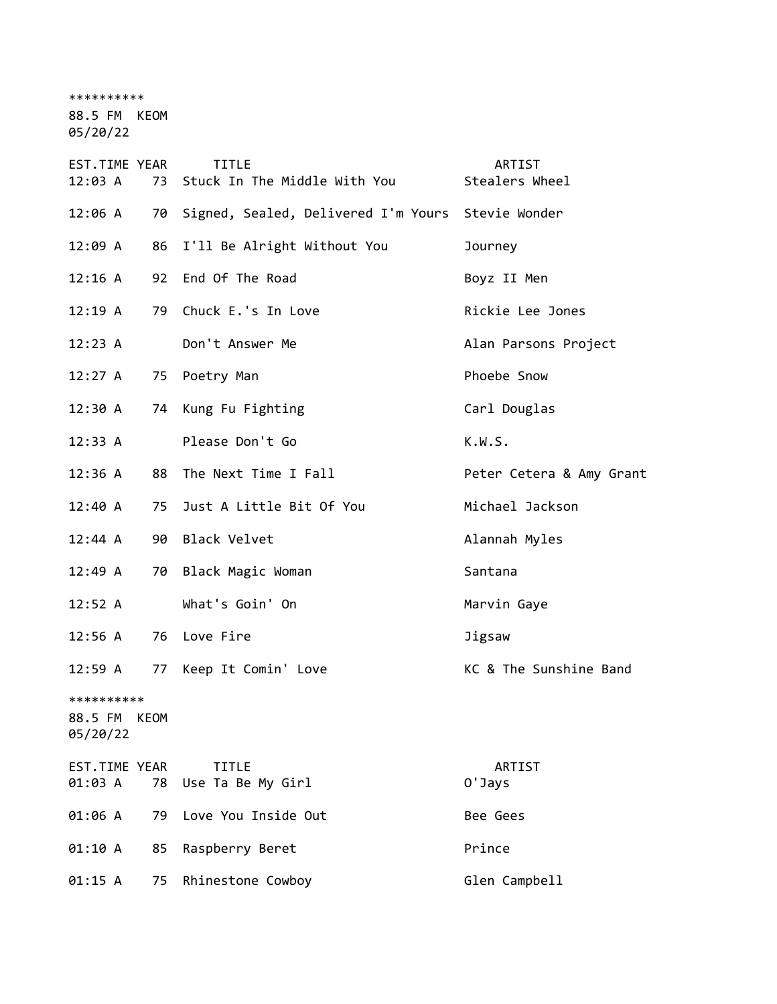\*\*\*\*\*\*\*\*\*\*

88.5 FM KEOM

05/20/22

| EST.TIME YEAR<br>12:03 A          | 73   | <b>TITLE</b><br>Stuck In The Middle With You      | ARTIST<br>Stealers Wheel |
|-----------------------------------|------|---------------------------------------------------|--------------------------|
| 12:06 A                           | 70   | Signed, Sealed, Delivered I'm Yours Stevie Wonder |                          |
| 12:09 A                           | 86   | I'll Be Alright Without You                       | Journey                  |
| 12:16 A                           | 92   | End Of The Road                                   | Boyz II Men              |
| 12:19A                            | 79   | Chuck E.'s In Love                                | Rickie Lee Jones         |
| 12:23 A                           |      | Don't Answer Me                                   | Alan Parsons Project     |
| 12:27 A                           | 75   | Poetry Man                                        | Phoebe Snow              |
| 12:30 A                           |      | 74 Kung Fu Fighting                               | Carl Douglas             |
| 12:33 A                           |      | Please Don't Go                                   | K.W.S.                   |
| 12:36 A                           | 88   | The Next Time I Fall                              | Peter Cetera & Amy Grant |
| $12:40 \; A$                      | 75   | Just A Little Bit Of You                          | Michael Jackson          |
| 12:44 A                           | 90   | Black Velvet                                      | Alannah Myles            |
| 12:49 A                           | 70   | Black Magic Woman                                 | Santana                  |
| 12:52 A                           |      | What's Goin' On                                   | Marvin Gaye              |
| $12:56$ A                         |      | 76 Love Fire                                      | Jigsaw                   |
| 12:59 A                           |      | 77 Keep It Comin' Love                            | KC & The Sunshine Band   |
| **********<br>88.5 FM<br>05/20/22 | KEOM |                                                   |                          |
| EST.TIME YEAR<br>01:03 A          |      | <b>TITLE</b><br>78 Use Ta Be My Girl              | ARTIST<br>0'Jays         |
| 01:06 A                           | 79   | Love You Inside Out                               | Bee Gees                 |
| 01:10 A                           | 85   | Raspberry Beret                                   | Prince                   |
| 01:15 A                           | 75   | Rhinestone Cowboy                                 | Glen Campbell            |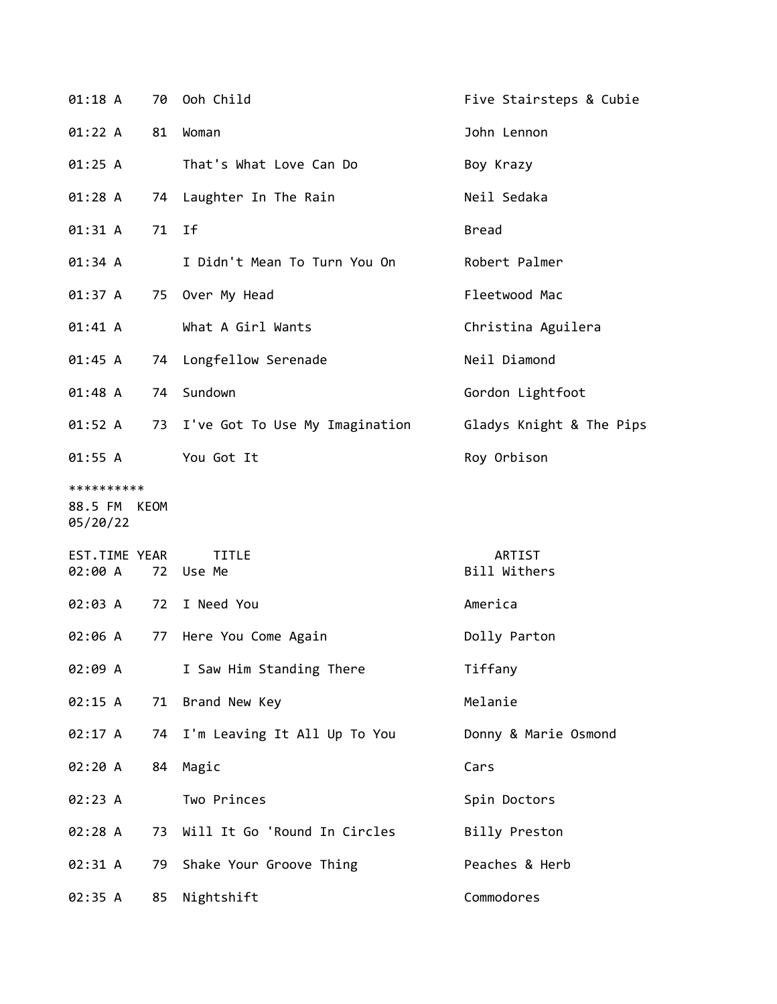| 01:18 A                                |    | 70 Ooh Child                      | Five Stairsteps & Cubie  |
|----------------------------------------|----|-----------------------------------|--------------------------|
| 01:22 A                                | 81 | Woman                             | John Lennon              |
| 01:25 A                                |    | That's What Love Can Do           | Boy Krazy                |
| 01:28A                                 | 74 | Laughter In The Rain              | Neil Sedaka              |
| 01:31 A                                | 71 | Ιf                                | <b>Bread</b>             |
| 01:34 A                                |    | I Didn't Mean To Turn You On      | Robert Palmer            |
| 01:37 A                                |    | 75 Over My Head                   | Fleetwood Mac            |
| 01:41 A                                |    | What A Girl Wants                 | Christina Aguilera       |
| 01:45 A                                | 74 | Longfellow Serenade               | Neil Diamond             |
| 01:48 A                                | 74 | Sundown                           | Gordon Lightfoot         |
| 01:52 A                                |    | 73 I've Got To Use My Imagination | Gladys Knight & The Pips |
| 01:55 A                                |    | You Got It                        | Roy Orbison              |
| **********<br>88.5 FM KEOM<br>05/20/22 |    |                                   |                          |
| EST.TIME YEAR<br>02:00 A               |    | <b>TITLE</b><br>72 Use Me         | ARTIST<br>Bill Withers   |
| 02:03 A                                |    | 72 I Need You                     | America                  |
| 02:06 A                                | 77 | Here You Come Again               | Dolly Parton             |
| 02:09 A                                |    | I Saw Him Standing There          | Tiffany                  |
| 02:15 A                                | 71 | Brand New Key                     | Melanie                  |
| 02:17 A                                | 74 | I'm Leaving It All Up To You      | Donny & Marie Osmond     |
| 02:20 A                                | 84 | Magic                             | Cars                     |
| 02:23 A                                |    | Two Princes                       | Spin Doctors             |
| 02:28 A                                | 73 | Will It Go 'Round In Circles      | Billy Preston            |
| 02:31 A                                | 79 | Shake Your Groove Thing           | Peaches & Herb           |
| 02:35 A                                | 85 | Nightshift                        | Commodores               |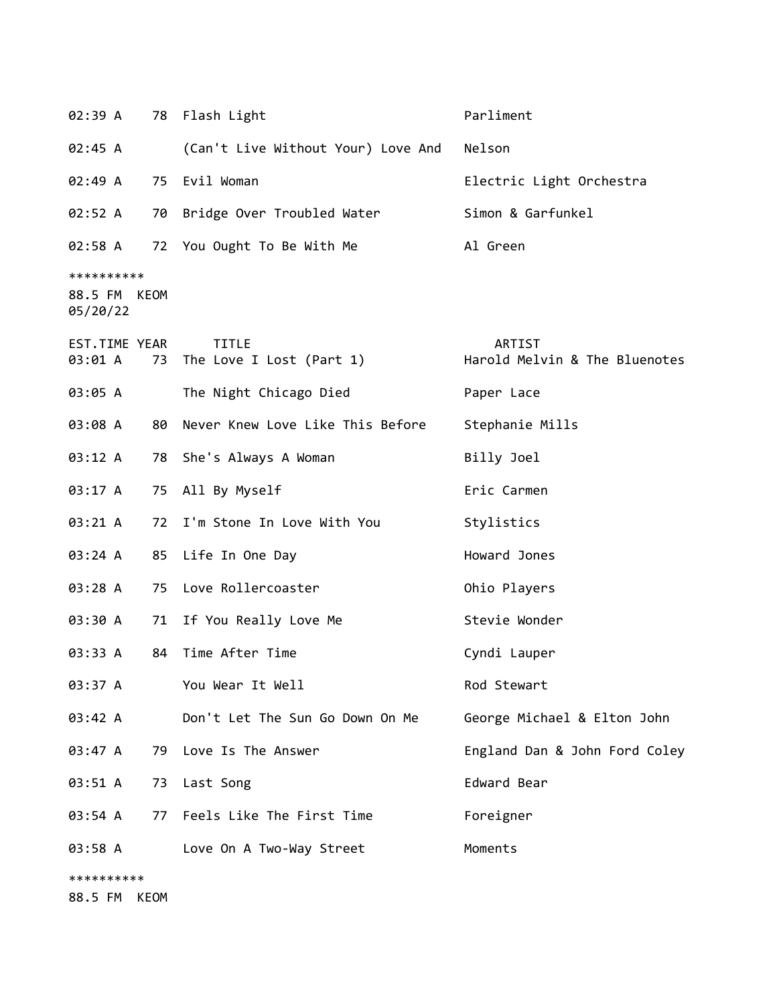| 02:39 A                                |      | 78 Flash Light                              | Parliment                               |
|----------------------------------------|------|---------------------------------------------|-----------------------------------------|
| 02:45 A                                |      | (Can't Live Without Your) Love And          | Nelson                                  |
| 02:49A                                 |      | 75 Evil Woman                               | Electric Light Orchestra                |
| 02:52 A                                |      | 70 Bridge Over Troubled Water               | Simon & Garfunkel                       |
| 02:58 A                                |      | 72 You Ought To Be With Me                  | Al Green                                |
| **********<br>88.5 FM KEOM<br>05/20/22 |      |                                             |                                         |
| EST.TIME YEAR<br>03:01 A               |      | <b>TITLE</b><br>73 The Love I Lost (Part 1) | ARTIST<br>Harold Melvin & The Bluenotes |
| 03:05 A                                |      | The Night Chicago Died                      | Paper Lace                              |
| 03:08 A                                |      | 80 Never Knew Love Like This Before         | Stephanie Mills                         |
| 03:12 A                                |      | 78 She's Always A Woman                     | Billy Joel                              |
| 03:17 A                                |      | 75 All By Myself                            | Eric Carmen                             |
| 03:21 A                                |      | 72 I'm Stone In Love With You               | Stylistics                              |
| 03:24 A                                |      | 85 Life In One Day                          | Howard Jones                            |
| 03:28 A                                |      | 75 Love Rollercoaster                       | Ohio Players                            |
| 03:30 A                                |      | 71 If You Really Love Me                    | Stevie Wonder                           |
| 03:33 A                                | 84   | Time After Time                             | Cyndi Lauper                            |
| 03:37 A                                |      | You Wear It Well                            | Rod Stewart                             |
| 03:42 A                                |      | Don't Let The Sun Go Down On Me             | George Michael & Elton John             |
| 03:47 A                                |      | 79 Love Is The Answer                       | England Dan & John Ford Coley           |
| 03:51 A                                |      | 73 Last Song                                | Edward Bear                             |
| 03:54 A                                | 77   | Feels Like The First Time                   | Foreigner                               |
| 03:58 A                                |      | Love On A Two-Way Street                    | Moments                                 |
| **********<br>88.5 FM                  | KEOM |                                             |                                         |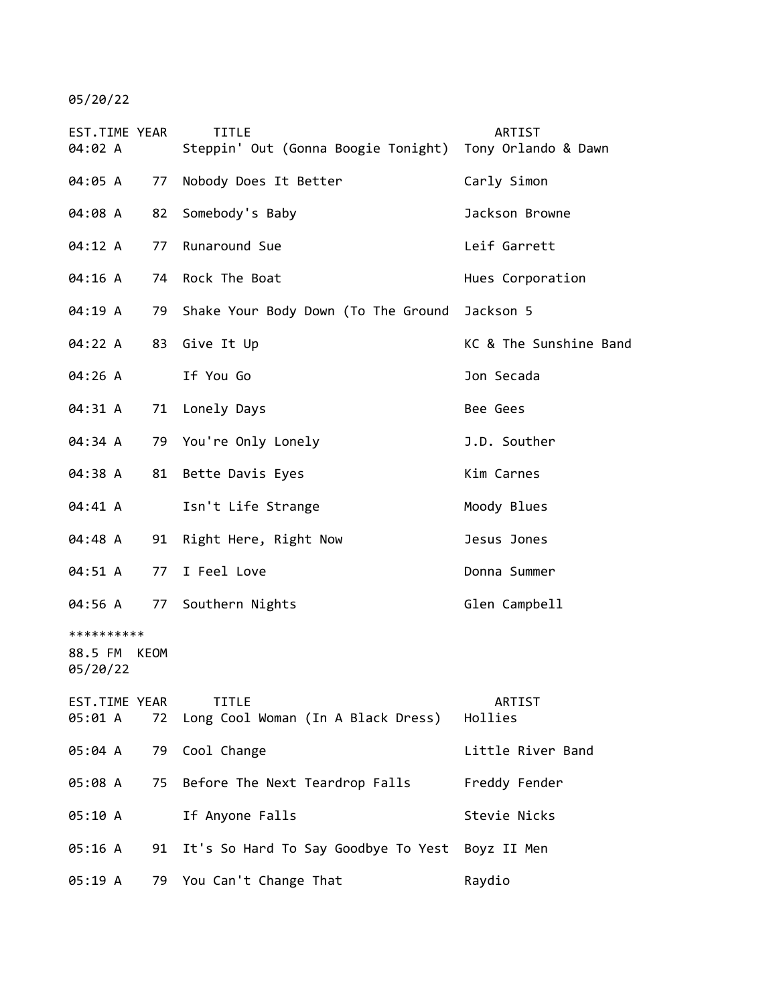05/20/22

| EST.TIME YEAR<br>04:02 A               | <b>TITLE</b><br>Steppin' Out (Gonna Boogie Tonight) | ARTIST<br>Tony Orlando & Dawn |
|----------------------------------------|-----------------------------------------------------|-------------------------------|
| 04:05 A<br>77                          | Nobody Does It Better                               | Carly Simon                   |
| 04:08 A<br>82                          | Somebody's Baby                                     | Jackson Browne                |
| 04:12 A<br>77                          | Runaround Sue                                       | Leif Garrett                  |
| 04:16 A<br>74                          | Rock The Boat                                       | Hues Corporation              |
| 04:19 A<br>79                          | Shake Your Body Down (To The Ground                 | Jackson 5                     |
| 04:22 A<br>83                          | Give It Up                                          | KC & The Sunshine Band        |
| 04:26 A                                | If You Go                                           | Jon Secada                    |
| 04:31 A<br>71                          | Lonely Days                                         | Bee Gees                      |
| 04:34 A<br>79                          | You're Only Lonely                                  | J.D. Souther                  |
| 04:38 A<br>81                          | Bette Davis Eyes                                    | Kim Carnes                    |
| 04:41 A                                | Isn't Life Strange                                  | Moody Blues                   |
| 04:48 A<br>91                          | Right Here, Right Now                               | Jesus Jones                   |
| 04:51 A<br>77                          | I Feel Love                                         | Donna Summer                  |
| 04:56 A<br>77                          | Southern Nights                                     | Glen Campbell                 |
| **********<br>88.5 FM KEOM<br>05/20/22 |                                                     |                               |
| EST.TIME YEAR<br>05:01 A<br>72         | <b>TITLE</b><br>Long Cool Woman (In A Black Dress)  | ARTIST<br>Hollies             |
| 05:04 A<br>79                          | Cool Change                                         | Little River Band             |
| 05:08 A<br>75                          | Before The Next Teardrop Falls                      | Freddy Fender                 |
| 05:10 A                                | If Anyone Falls                                     | Stevie Nicks                  |
| 05:16 A<br>91                          | It's So Hard To Say Goodbye To Yest                 | Boyz II Men                   |
| 05:19 A                                | 79 You Can't Change That                            | Raydio                        |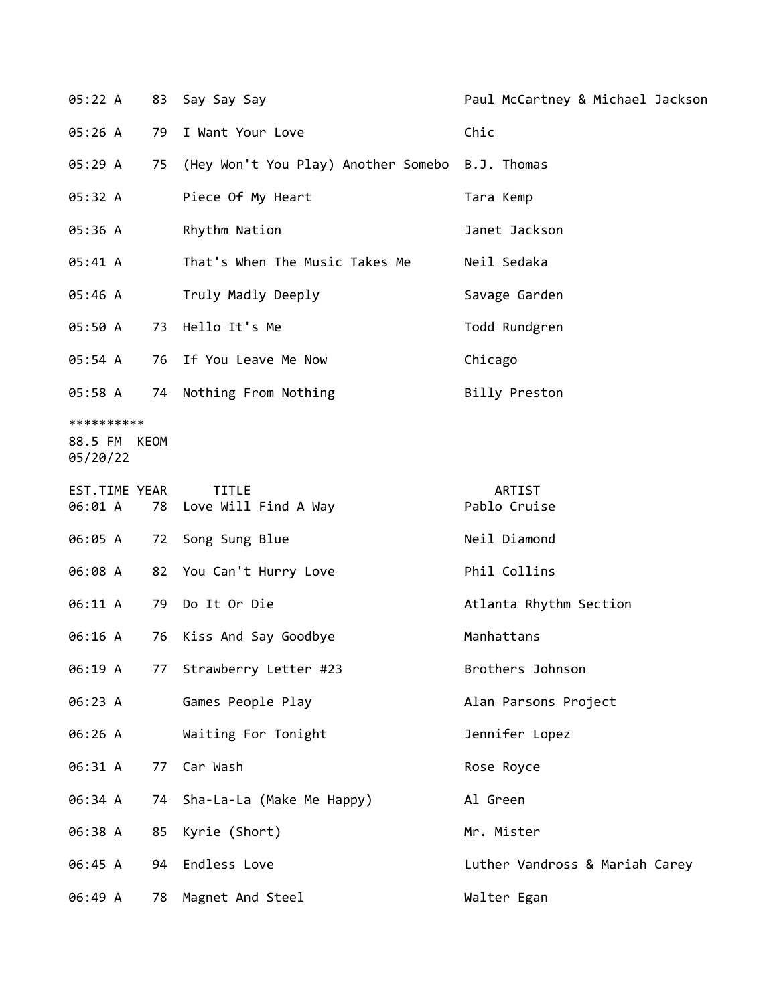| 05:22 A                           | 83   | Say Say Say                                     | Paul McCartney & Michael Jackson |
|-----------------------------------|------|-------------------------------------------------|----------------------------------|
| 05:26 A                           | 79   | I Want Your Love                                | Chic                             |
| 05:29 A                           | 75   | (Hey Won't You Play) Another Somebo B.J. Thomas |                                  |
| 05:32 A                           |      | Piece Of My Heart                               | Tara Kemp                        |
| 05:36 A                           |      | Rhythm Nation                                   | Janet Jackson                    |
| 05:41 A                           |      | That's When The Music Takes Me                  | Neil Sedaka                      |
| 05:46 A                           |      | Truly Madly Deeply                              | Savage Garden                    |
| 05:50 A                           | 73   | Hello It's Me                                   | Todd Rundgren                    |
| 05:54 A                           | 76   | If You Leave Me Now                             | Chicago                          |
| 05:58 A                           | 74   | Nothing From Nothing                            | Billy Preston                    |
| **********<br>88.5 FM<br>05/20/22 | KEOM |                                                 |                                  |
| EST.TIME YEAR<br>06:01 A          | 78   | <b>TITLE</b><br>Love Will Find A Way            | ARTIST<br>Pablo Cruise           |
| 06:05 A                           | 72   | Song Sung Blue                                  | Neil Diamond                     |
| 06:08 A                           |      | 82 You Can't Hurry Love                         | Phil Collins                     |
| 06:11 A                           | 79   | Do It Or Die                                    | Atlanta Rhythm Section           |
| 06:16 A                           | 76   | Kiss And Say Goodbye                            | Manhattans                       |
| 06:19 A                           | 77   | Strawberry Letter #23                           | Brothers Johnson                 |
| 06:23 A                           |      | Games People Play                               | Alan Parsons Project             |
| 06:26 A                           |      | Waiting For Tonight                             | Jennifer Lopez                   |
| 06:31 A                           | 77   | Car Wash                                        | Rose Royce                       |
| 06:34 A                           | 74   | Sha-La-La (Make Me Happy)                       | Al Green                         |
| 06:38 A                           | 85   | Kyrie (Short)                                   | Mr. Mister                       |
| 06:45 A                           | 94   | Endless Love                                    | Luther Vandross & Mariah Carey   |
| 06:49 A                           | 78   | Magnet And Steel                                | Walter Egan                      |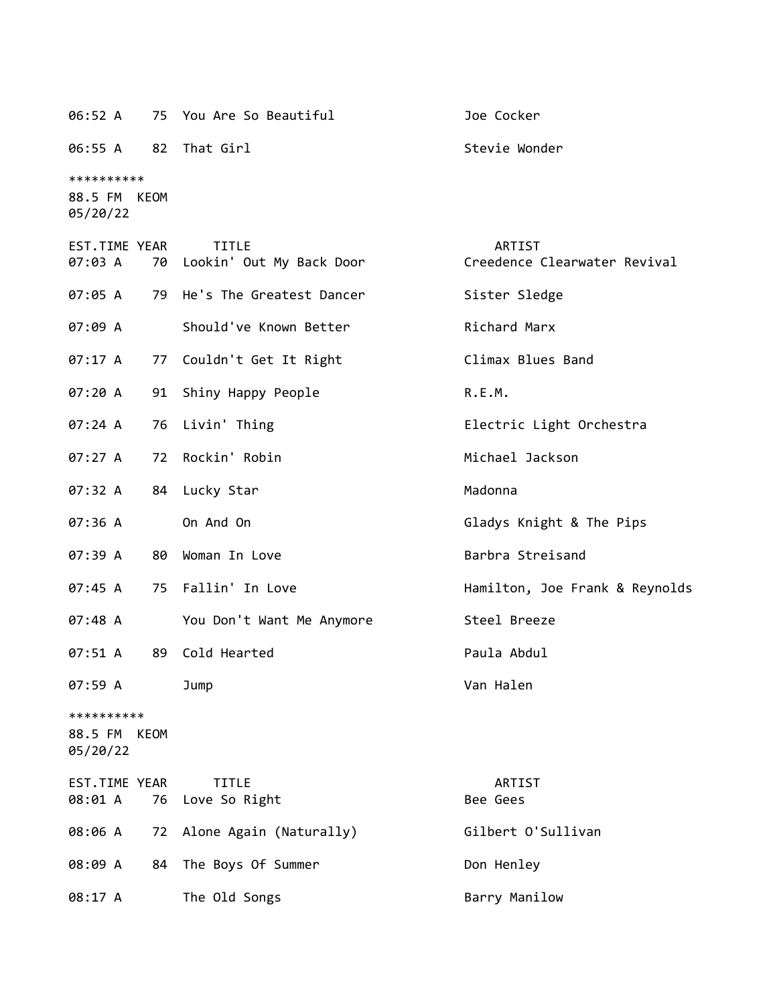| 06:55 A 82 That Girl                   |      |                                          | Stevie Wonder                          |
|----------------------------------------|------|------------------------------------------|----------------------------------------|
| **********<br>88.5 FM KEOM<br>05/20/22 |      |                                          |                                        |
| EST.TIME YEAR<br>07:03 A               | 70   | <b>TITLE</b><br>Lookin' Out My Back Door | ARTIST<br>Creedence Clearwater Revival |
| 07:05 A                                | 79   | He's The Greatest Dancer                 | Sister Sledge                          |
| 07:09 A                                |      | Should've Known Better                   | Richard Marx                           |
| 07:17 A                                | 77   | Couldn't Get It Right                    | Climax Blues Band                      |
| 07:20 A                                | 91   | Shiny Happy People                       | R.E.M.                                 |
| 07:24A                                 | 76   | Livin' Thing                             | Electric Light Orchestra               |
| 07:27 A                                | 72   | Rockin' Robin                            | Michael Jackson                        |
| 07:32 A                                | 84   | Lucky Star                               | Madonna                                |
| 07:36 A                                |      | On And On                                | Gladys Knight & The Pips               |
| 07:39 A                                | 80 - | Woman In Love                            | Barbra Streisand                       |
| 07:45 A                                | 75 — | Fallin' In Love                          | Hamilton, Joe Frank & Reynolds         |
| 07:48 A                                |      | You Don't Want Me Anymore                | Steel Breeze                           |
| 07:51 A                                | 89.  | Cold Hearted                             | Paula Abdul                            |
| 07:59 A                                |      | Jump                                     | Van Halen                              |
| **********<br>88.5 FM<br>05/20/22      | KEOM |                                          |                                        |

| EST.TIME YEAR | <b>TITLE</b>                       | ARTIST             |
|---------------|------------------------------------|--------------------|
|               | 08:01 A 76 Love So Right           | Bee Gees           |
|               | 08:06 A 72 Alone Again (Naturally) | Gilbert O'Sullivan |
|               | 08:09 A 84 The Boys Of Summer      | Don Henley         |
| 08:17 A       | The Old Songs                      | Barry Manilow      |

06:52 A 75 You Are So Beautiful Joe Cocker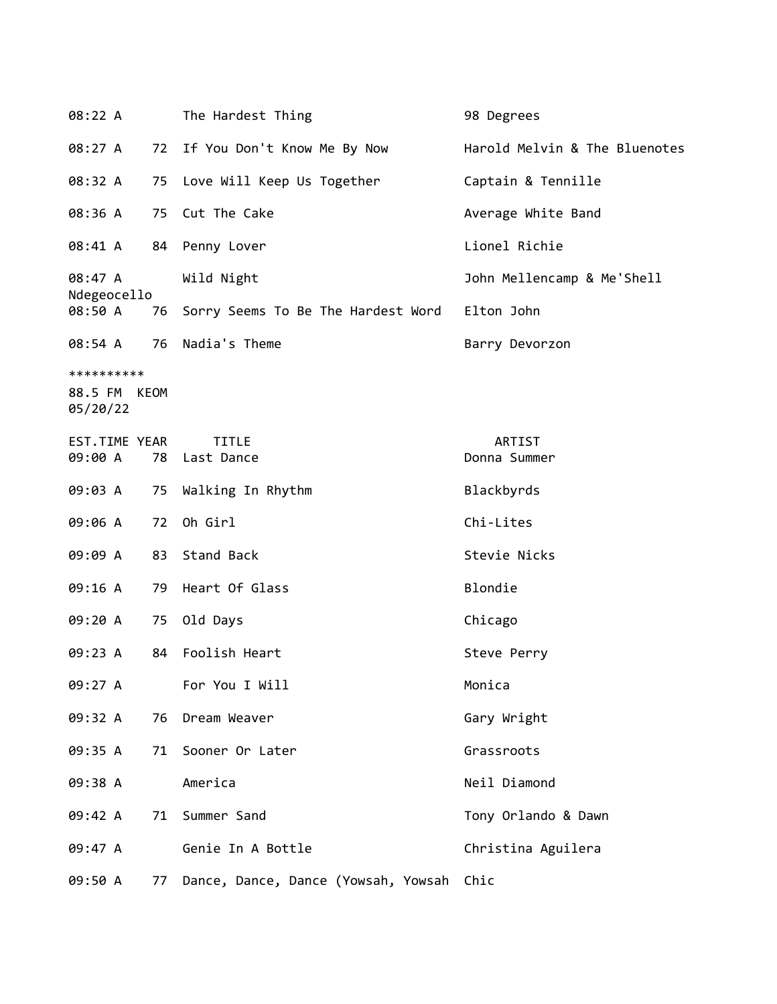| 08:22 A                                |    | The Hardest Thing                        | 98 Degrees                    |
|----------------------------------------|----|------------------------------------------|-------------------------------|
| 08:27 A                                | 72 | If You Don't Know Me By Now              | Harold Melvin & The Bluenotes |
| 08:32 A                                | 75 | Love Will Keep Us Together               | Captain & Tennille            |
| 08:36 A                                | 75 | Cut The Cake                             | Average White Band            |
| 08:41 A                                | 84 | Penny Lover                              | Lionel Richie                 |
| 08:47 A                                |    | Wild Night                               | John Mellencamp & Me'Shell    |
| Ndegeocello<br>08:50 A                 | 76 | Sorry Seems To Be The Hardest Word       | Elton John                    |
| 08:54 A                                |    | 76 Nadia's Theme                         | Barry Devorzon                |
| **********<br>88.5 FM KEOM<br>05/20/22 |    |                                          |                               |
| EST.TIME YEAR<br>09:00 A               |    | <b>TITLE</b><br>78 Last Dance            | ARTIST<br>Donna Summer        |
| 09:03 A                                | 75 | Walking In Rhythm                        | Blackbyrds                    |
| 09:06 A                                | 72 | Oh Girl                                  | Chi-Lites                     |
| 09:09 A                                | 83 | Stand Back                               | Stevie Nicks                  |
| 09:16 A                                | 79 | Heart Of Glass                           | Blondie                       |
| 09:20 A                                | 75 | Old Days                                 | Chicago                       |
| 09:23 A                                | 84 | Foolish Heart                            | Steve Perry                   |
| 09:27 A                                |    | For You I Will                           | Monica                        |
| 09:32 A                                | 76 | Dream Weaver                             | Gary Wright                   |
| 09:35 A                                | 71 | Sooner Or Later                          | Grassroots                    |
| 09:38 A                                |    | America                                  | Neil Diamond                  |
| 09:42 A                                | 71 | Summer Sand                              | Tony Orlando & Dawn           |
| 09:47 A                                |    | Genie In A Bottle                        | Christina Aguilera            |
| 09:50 A                                | 77 | Dance, Dance, Dance (Yowsah, Yowsah Chic |                               |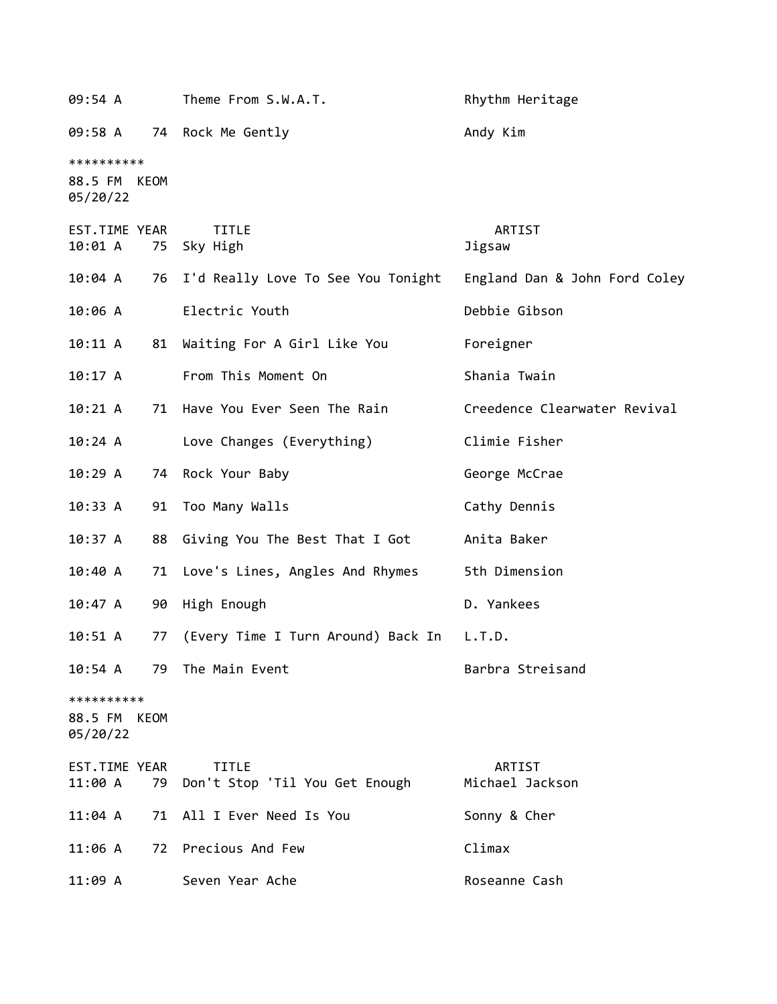| 09:54 A                                |    | Theme From S.W.A.T.                               | Rhythm Heritage               |
|----------------------------------------|----|---------------------------------------------------|-------------------------------|
| 09:58 A                                |    | 74 Rock Me Gently                                 | Andy Kim                      |
| **********<br>88.5 FM KEOM<br>05/20/22 |    |                                                   |                               |
| EST.TIME YEAR<br>10:01 A               | 75 | <b>TITLE</b><br>Sky High                          | ARTIST<br>Jigsaw              |
| 10:04 A                                |    | 76 I'd Really Love To See You Tonight             | England Dan & John Ford Coley |
| 10:06 A                                |    | Electric Youth                                    | Debbie Gibson                 |
| 10:11 A                                | 81 | Waiting For A Girl Like You                       | Foreigner                     |
| 10:17 A                                |    | From This Moment On                               | Shania Twain                  |
| 10:21 A                                |    | 71 Have You Ever Seen The Rain                    | Creedence Clearwater Revival  |
| 10:24 A                                |    | Love Changes (Everything)                         | Climie Fisher                 |
| 10:29A                                 |    | 74 Rock Your Baby                                 | George McCrae                 |
| 10:33 A                                | 91 | Too Many Walls                                    | Cathy Dennis                  |
| 10:37 A                                | 88 | Giving You The Best That I Got                    | Anita Baker                   |
| 10:40 A                                |    | 71 Love's Lines, Angles And Rhymes                | 5th Dimension                 |
| 10:47 A                                | 90 | High Enough                                       | D. Yankees                    |
| 10:51 A                                | 77 | (Every Time I Turn Around) Back In                | L.T.D.                        |
| 10:54 A                                |    | 79 The Main Event                                 | Barbra Streisand              |
| **********<br>88.5 FM KEOM<br>05/20/22 |    |                                                   |                               |
| EST.TIME YEAR<br>11:00 A               |    | <b>TITLE</b><br>79 Don't Stop 'Til You Get Enough | ARTIST<br>Michael Jackson     |
| $11:04$ A                              |    | 71 All I Ever Need Is You                         | Sonny & Cher                  |
| 11:06 A                                |    | 72 Precious And Few                               | Climax                        |
| 11:09 A                                |    | Seven Year Ache                                   | Roseanne Cash                 |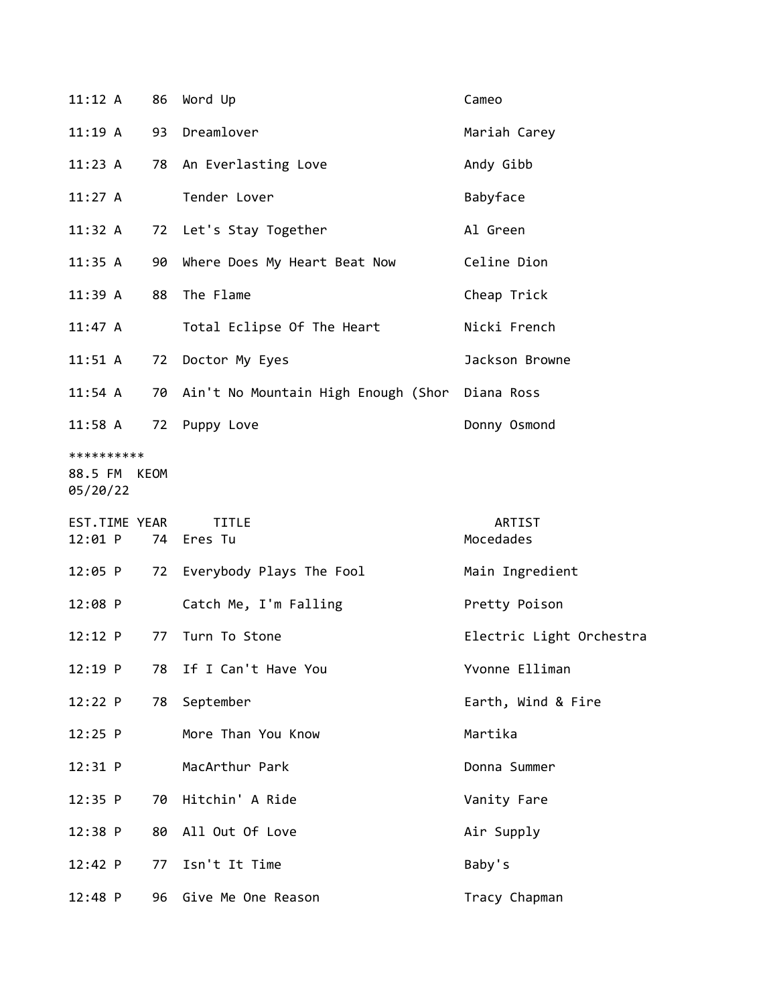| 11:12 A                                | 86 | Word Up                                           | Cameo                    |
|----------------------------------------|----|---------------------------------------------------|--------------------------|
| 11:19 A                                | 93 | Dreamlover                                        | Mariah Carey             |
| 11:23 A                                | 78 | An Everlasting Love                               | Andy Gibb                |
| 11:27 A                                |    | Tender Lover                                      | Babyface                 |
| 11:32 A                                |    | 72 Let's Stay Together                            | Al Green                 |
| 11:35 A                                | 90 | Where Does My Heart Beat Now                      | Celine Dion              |
| $11:39$ A                              | 88 | The Flame                                         | Cheap Trick              |
| 11:47 A                                |    | Total Eclipse Of The Heart                        | Nicki French             |
| $11:51$ A                              | 72 | Doctor My Eyes                                    | Jackson Browne           |
| 11:54 A                                |    | 70 Ain't No Mountain High Enough (Shor Diana Ross |                          |
| $11:58$ A                              | 72 | Puppy Love                                        | Donny Osmond             |
| **********<br>88.5 FM KEOM<br>05/20/22 |    |                                                   |                          |
|                                        |    |                                                   |                          |
| EST.TIME YEAR<br>12:01 P               |    | <b>TITLE</b><br>74 Eres Tu                        | ARTIST<br>Mocedades      |
| 12:05 P                                | 72 | Everybody Plays The Fool                          | Main Ingredient          |
| $12:08$ P                              |    | Catch Me, I'm Falling                             | Pretty Poison            |
| $12:12$ P                              | 77 | Turn To Stone                                     | Electric Light Orchestra |
| $12:19$ P                              | 78 | If I Can't Have You                               | Yvonne Elliman           |
| 12:22 P                                | 78 | September                                         | Earth, Wind & Fire       |
| $12:25$ P                              |    | More Than You Know                                | Martika                  |
| $12:31$ P                              |    | MacArthur Park                                    | Donna Summer             |
| $12:35$ P                              | 70 | Hitchin' A Ride                                   | Vanity Fare              |
| 12:38 P                                | 80 | All Out Of Love                                   | Air Supply               |
| 12:42 P                                | 77 | Isn't It Time                                     | Baby's                   |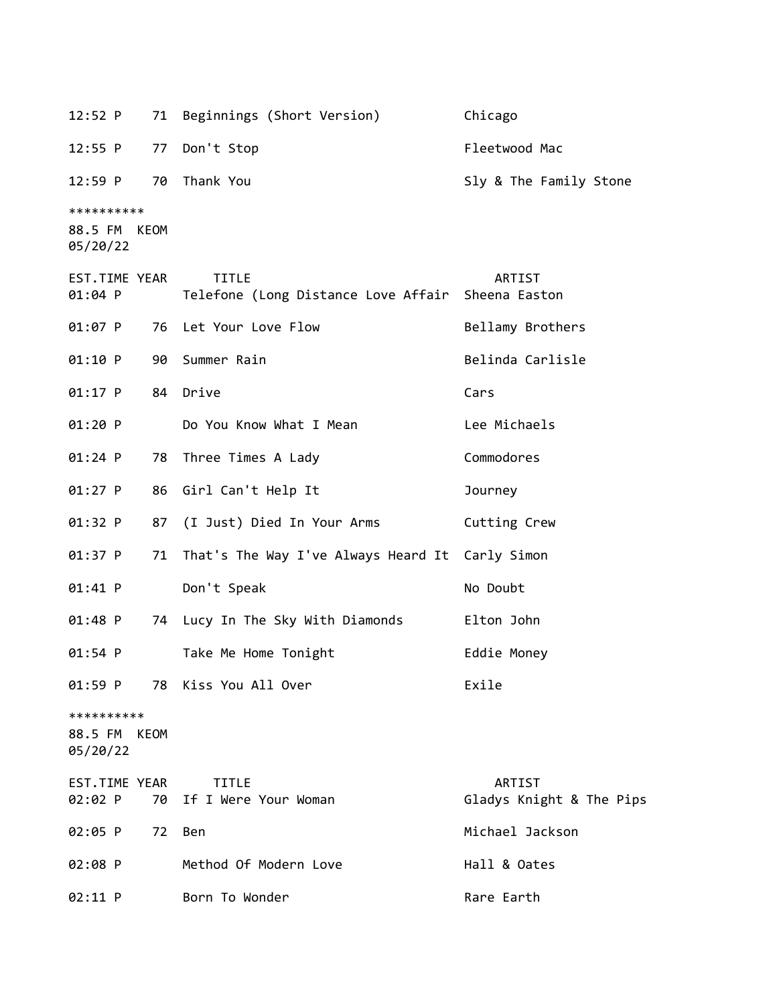12:52 P 71 Beginnings (Short Version) Chicago 12:55 P 77 Don't Stop Fleetwood Mac 12:59 P 70 Thank You Sly & The Family Stone \*\*\*\*\*\*\*\*\*\* 88.5 FM KEOM 05/20/22 EST.TIME YEAR TITLE ARTIST 01:04 P Telefone (Long Distance Love Affair Sheena Easton 01:07 P 76 Let Your Love Flow Bellamy Brothers 01:10 P 90 Summer Rain Belinda Carlisle 01:17 P 84 Drive Cars 01:20 P Do You Know What I Mean Lee Michaels 01:24 P 78 Three Times A Lady Commodores 01:27 P 86 Girl Can't Help It Journey 01:32 P 87 (I Just) Died In Your Arms Cutting Crew 01:37 P 71 That's The Way I've Always Heard It Carly Simon 01:41 P Don't Speak No Doubt 01:48 P 74 Lucy In The Sky With Diamonds Elton John 01:54 P Take Me Home Tonight Eddie Money 01:59 P 78 Kiss You All Over The Control of Exile \*\*\*\*\*\*\*\*\*\* 88.5 FM KEOM 05/20/22 EST.TIME YEAR TITLE ARTIST 02:02 P 70 If I Were Your Woman The Gladys Knight & The Pips 02:05 P 72 Ben Michael Jackson 02:08 P Method Of Modern Love Than Hall & Oates 02:11 P Born To Wonder Rare Earth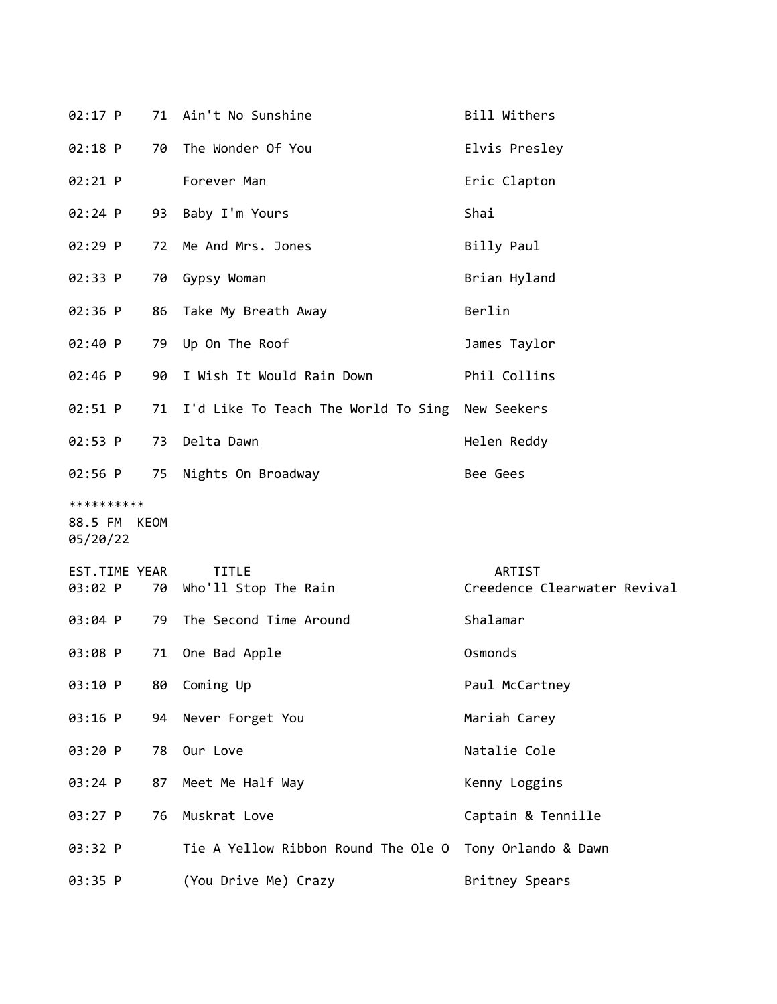| $02:17$ P                              |    | 71 Ain't No Sunshine                               | Bill Withers                           |
|----------------------------------------|----|----------------------------------------------------|----------------------------------------|
| 02:18 P                                | 70 | The Wonder Of You                                  | Elvis Presley                          |
| $02:21$ P                              |    | Forever Man                                        | Eric Clapton                           |
| 02:24 P                                | 93 | Baby I'm Yours                                     | Shai                                   |
| 02:29 P                                | 72 | Me And Mrs. Jones                                  | Billy Paul                             |
| 02:33 P                                |    | 70 Gypsy Woman                                     | Brian Hyland                           |
| 02:36 P                                |    | 86 Take My Breath Away                             | Berlin                                 |
| 02:40 P                                |    | 79 Up On The Roof                                  | James Taylor                           |
| 02:46 P                                | 90 | I Wish It Would Rain Down                          | Phil Collins                           |
| 02:51 P                                |    | 71 I'd Like To Teach The World To Sing New Seekers |                                        |
| 02:53 P                                |    | 73 Delta Dawn                                      | Helen Reddy                            |
| $02:56$ P                              |    | 75 Nights On Broadway                              | Bee Gees                               |
| **********<br>88.5 FM KEOM<br>05/20/22 |    |                                                    |                                        |
| EST.TIME YEAR<br>03:02 P               |    | <b>TITLE</b><br>70 Who'll Stop The Rain            | ARTIST<br>Creedence Clearwater Revival |
| 03:04 P                                | 79 | The Second Time Around                             | Shalamar                               |
| 03:08 P                                | 71 | One Bad Apple                                      | Osmonds                                |
| 03:10 P                                | 80 | Coming Up                                          | Paul McCartney                         |
| 03:16 P                                | 94 | Never Forget You                                   | Mariah Carey                           |
| 03:20 P                                | 78 | Our Love                                           | Natalie Cole                           |
| 03:24 P                                | 87 | Meet Me Half Way                                   | Kenny Loggins                          |
| 03:27 P                                | 76 | Muskrat Love                                       | Captain & Tennille                     |
| 03:32 P                                |    | Tie A Yellow Ribbon Round The Ole O                | Tony Orlando & Dawn                    |
| 03:35 P                                |    | (You Drive Me) Crazy                               | Britney Spears                         |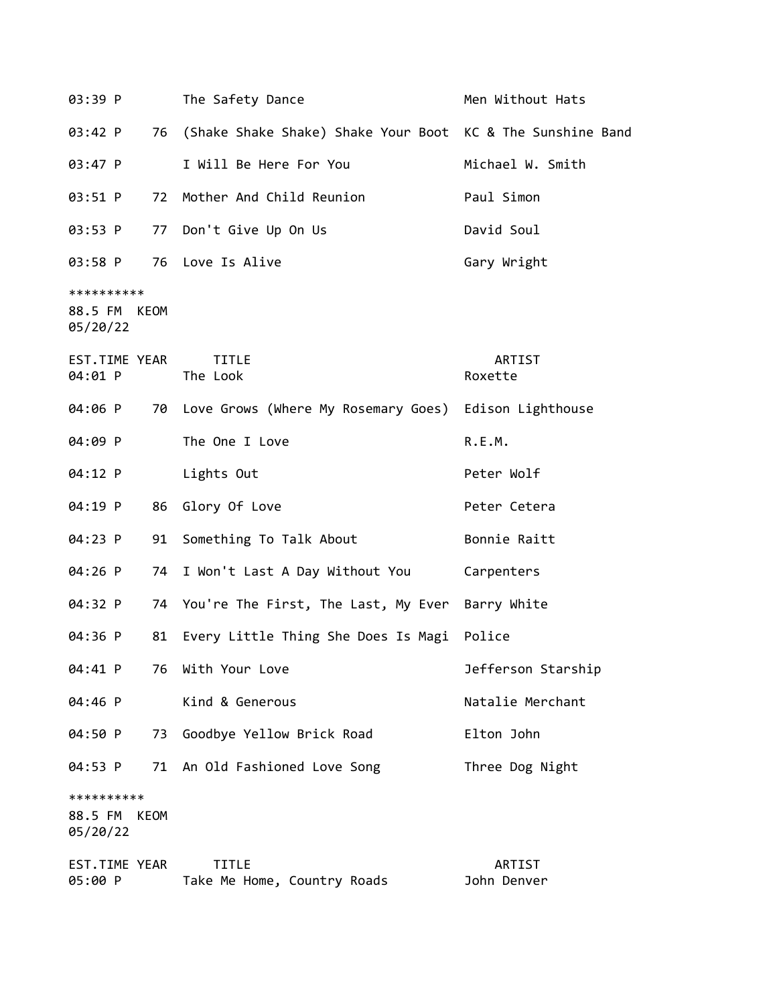| 03:39 P                                   | The Safety Dance                                              | Men Without Hats      |
|-------------------------------------------|---------------------------------------------------------------|-----------------------|
| 03:42 P                                   | 76 (Shake Shake Shake) Shake Your Boot KC & The Sunshine Band |                       |
| 03:47 P                                   | I Will Be Here For You                                        | Michael W. Smith      |
| 03:51 P                                   | 72 Mother And Child Reunion                                   | Paul Simon            |
| 03:53 P                                   | 77 Don't Give Up On Us                                        | David Soul            |
| 03:58 P                                   | 76 Love Is Alive                                              | Gary Wright           |
| **********<br>88.5 FM KEOM<br>05/20/22    |                                                               |                       |
| EST.TIME YEAR<br>04:01 P                  | <b>TITLE</b><br>The Look                                      | ARTIST<br>Roxette     |
| 04:06 P                                   | 70 Love Grows (Where My Rosemary Goes) Edison Lighthouse      |                       |
| 04:09 P                                   | The One I Love                                                | R.E.M.                |
| 04:12 P                                   | Lights Out                                                    | Peter Wolf            |
| 04:19 P                                   | Glory Of Love<br>86                                           | Peter Cetera          |
| 04:23 P                                   | Something To Talk About<br>91                                 | Bonnie Raitt          |
| 04:26 P                                   | 74 I Won't Last A Day Without You                             | Carpenters            |
| 04:32 P                                   | 74 You're The First, The Last, My Ever Barry White            |                       |
| 04:36 P                                   | 81<br>Every Little Thing She Does Is Magi Police              |                       |
| 04:41 P                                   | With Your Love<br>76                                          | Jefferson Starship    |
| 04:46 P                                   | Kind & Generous                                               | Natalie Merchant      |
| 04:50 P                                   | Goodbye Yellow Brick Road<br>73                               | Elton John            |
| 04:53 P                                   | 71 An Old Fashioned Love Song                                 | Three Dog Night       |
| **********<br>88.5 FM<br>KEOM<br>05/20/22 |                                                               |                       |
| EST. TIME YEAR<br>05:00 P                 | <b>TITLE</b><br>Take Me Home, Country Roads                   | ARTIST<br>John Denver |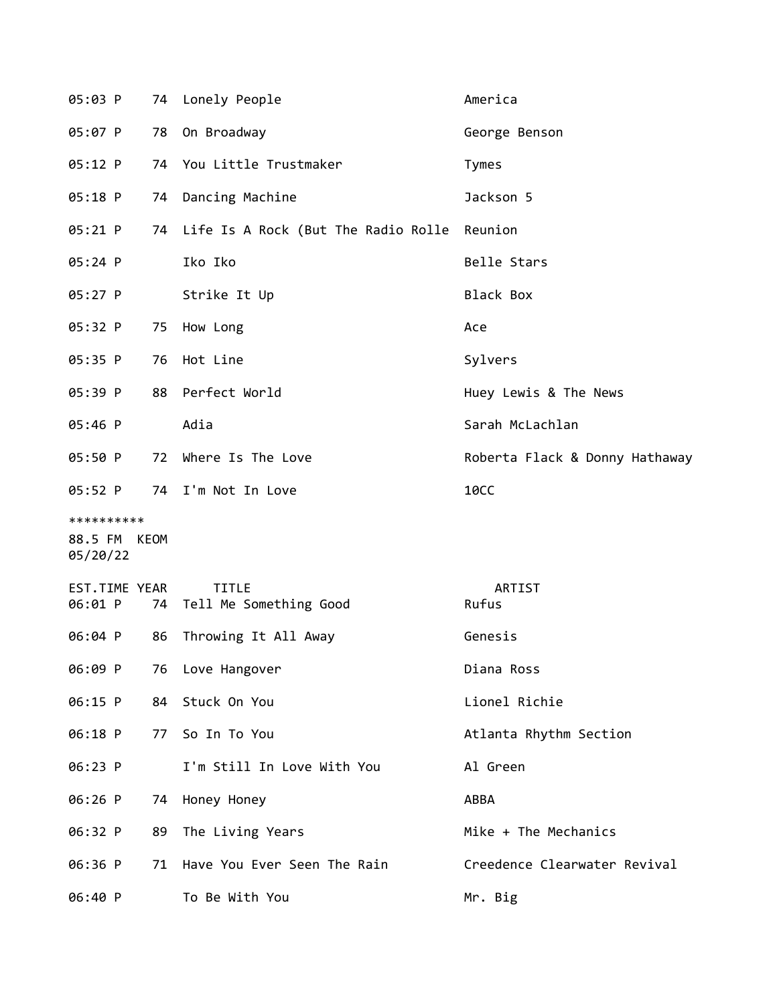| 05:03 P                                |    | 74 Lonely People                               | America                        |
|----------------------------------------|----|------------------------------------------------|--------------------------------|
| 05:07 P                                | 78 | On Broadway                                    | George Benson                  |
| 05:12 P                                |    | 74 You Little Trustmaker                       | Tymes                          |
| 05:18 P                                | 74 | Dancing Machine                                | Jackson 5                      |
| 05:21 P                                |    | 74 Life Is A Rock (But The Radio Rolle Reunion |                                |
| 05:24 P                                |    | Iko Iko                                        | Belle Stars                    |
| 05:27 P                                |    | Strike It Up                                   | Black Box                      |
| 05:32 P                                | 75 | How Long                                       | Ace                            |
| 05:35 P                                | 76 | Hot Line                                       | Sylvers                        |
| 05:39 P                                |    | 88 Perfect World                               | Huey Lewis & The News          |
| 05:46 P                                |    | Adia                                           | Sarah McLachlan                |
| 05:50 P                                | 72 | Where Is The Love                              | Roberta Flack & Donny Hathaway |
| 05:52 P                                |    | 74 I'm Not In Love                             | <b>10CC</b>                    |
| **********<br>88.5 FM KEOM<br>05/20/22 |    |                                                |                                |
| EST.TIME YEAR<br>06:01 P               |    | <b>TITLE</b><br>74 Tell Me Something Good      | ARTIST<br>Rufus                |
| 06:04 P                                | 86 | Throwing It All Away                           | Genesis                        |
| 06:09 P                                | 76 | Love Hangover                                  | Diana Ross                     |
| 06:15 P                                | 84 | Stuck On You                                   | Lionel Richie                  |
| 06:18 P                                | 77 | So In To You                                   | Atlanta Rhythm Section         |
| 06:23 P                                |    | I'm Still In Love With You                     | Al Green                       |
| 06:26 P                                | 74 | Honey Honey                                    | ABBA                           |
| 06:32 P                                | 89 | The Living Years                               | Mike + The Mechanics           |
| 06:36 P                                | 71 | Have You Ever Seen The Rain                    | Creedence Clearwater Revival   |
| 06:40 P                                |    | To Be With You                                 | Mr. Big                        |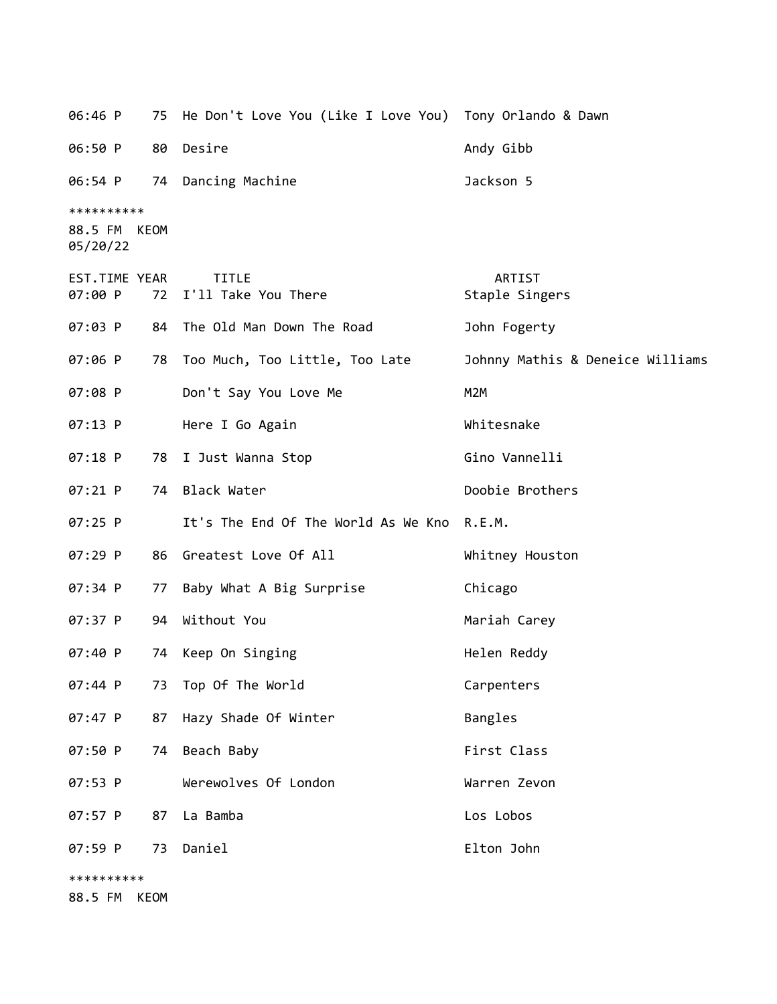06:46 P 75 He Don't Love You (Like I Love You) Tony Orlando & Dawn 06:50 P 80 Desire Andy Gibb 06:54 P 74 Dancing Machine Jackson 5 \*\*\*\*\*\*\*\*\*\* 88.5 FM KEOM 05/20/22 EST.TIME YEAR TITLE ARTIST 07:00 P 72 I'll Take You There Staple Singers 07:03 P 84 The Old Man Down The Road 30hn Fogerty 07:06 P 78 Too Much, Too Little, Too Late Johnny Mathis & Deneice Williams 07:08 P Don't Say You Love Me M2M 07:13 P Here I Go Again Nhitesnake 07:18 P 78 I Just Wanna Stop Gino Vannelli 07:21 P 74 Black Water Doobie Brothers 07:25 P It's The End Of The World As We Kno R.E.M. 07:29 P 86 Greatest Love Of All Whitney Houston 07:34 P 77 Baby What A Big Surprise Chicago 07:37 P 94 Without You Mariah Carey 07:40 P 74 Keep On Singing Nellen Reddy 07:44 P 73 Top Of The World Carpenters 07:47 P 87 Hazy Shade Of Winter Bangles 07:50 P 74 Beach Baby **First Class** 07:53 P Werewolves Of London Warren Zevon 07:57 P 87 La Bamba de la contrata de la Los Lobos 07:59 P 73 Daniel Elton John \*\*\*\*\*\*\*\*\*\* 88.5 FM KEOM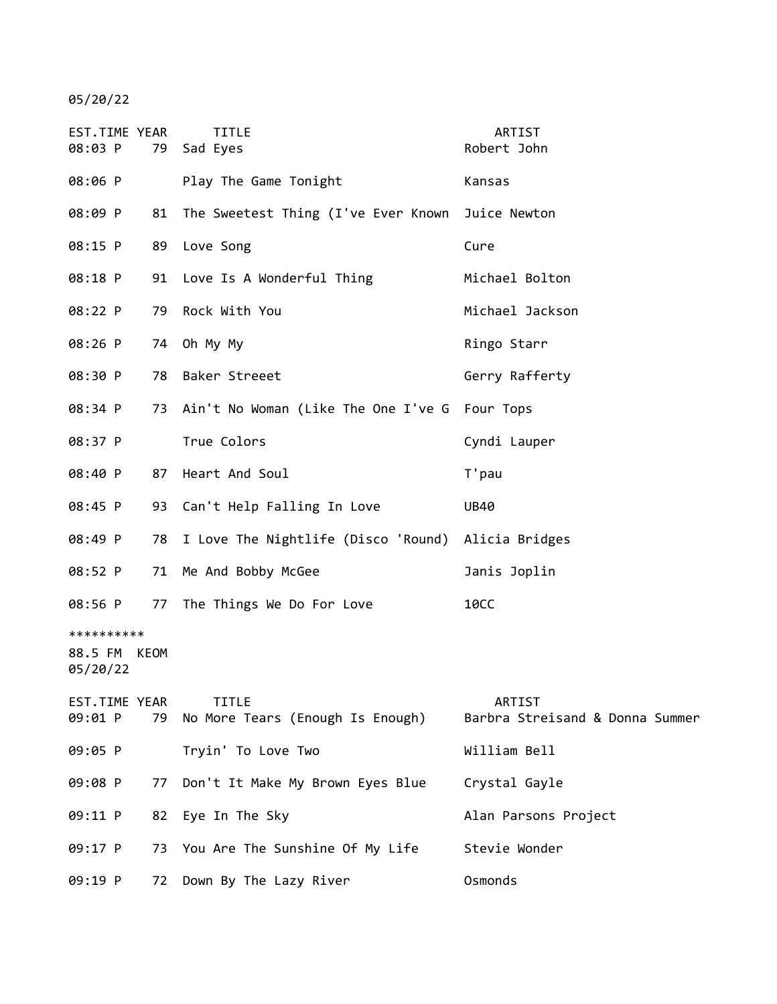05/20/22

| EST.TIME YEAR<br>08:03 P                         | 79 | <b>TITLE</b><br>Sad Eyes                            | ARTIST<br>Robert John                     |
|--------------------------------------------------|----|-----------------------------------------------------|-------------------------------------------|
| 08:06 P                                          |    | Play The Game Tonight                               | Kansas                                    |
| 08:09 P                                          |    | 81 The Sweetest Thing (I've Ever Known Juice Newton |                                           |
| 08:15 P                                          |    | 89 Love Song                                        | Cure                                      |
| 08:18 P                                          |    | 91 Love Is A Wonderful Thing                        | Michael Bolton                            |
| 08:22 P                                          | 79 | Rock With You                                       | Michael Jackson                           |
| 08:26 P                                          |    | 74 Oh My My                                         | Ringo Starr                               |
| 08:30 P                                          |    | 78 Baker Streeet                                    | Gerry Rafferty                            |
| 08:34 P                                          |    | 73 Ain't No Woman (Like The One I've G Four Tops    |                                           |
| 08:37 P                                          |    | True Colors                                         | Cyndi Lauper                              |
| 08:40 P                                          | 87 | Heart And Soul                                      | T'pau                                     |
| 08:45 P                                          |    | 93 Can't Help Falling In Love                       | <b>UB40</b>                               |
| 08:49 P                                          | 78 | I Love The Nightlife (Disco 'Round) Alicia Bridges  |                                           |
| 08:52 P                                          | 71 | Me And Bobby McGee                                  | Janis Joplin                              |
| 08:56 P                                          |    | 77 The Things We Do For Love                        | <b>10CC</b>                               |
| **********<br>88.5 FM<br><b>KEOM</b><br>05/20/22 |    |                                                     |                                           |
| EST.TIME YEAR<br>09:01 P                         |    | <b>TITLE</b><br>79 No More Tears (Enough Is Enough) | ARTIST<br>Barbra Streisand & Donna Summer |
| 09:05 P                                          |    | Tryin' To Love Two                                  | William Bell                              |
| 09:08 P                                          | 77 | Don't It Make My Brown Eyes Blue                    | Crystal Gayle                             |
| 09:11 P                                          | 82 | Eye In The Sky                                      | Alan Parsons Project                      |
| 09:17 P                                          |    | 73 You Are The Sunshine Of My Life                  | Stevie Wonder                             |
| 09:19 P                                          |    | 72 Down By The Lazy River                           | Osmonds                                   |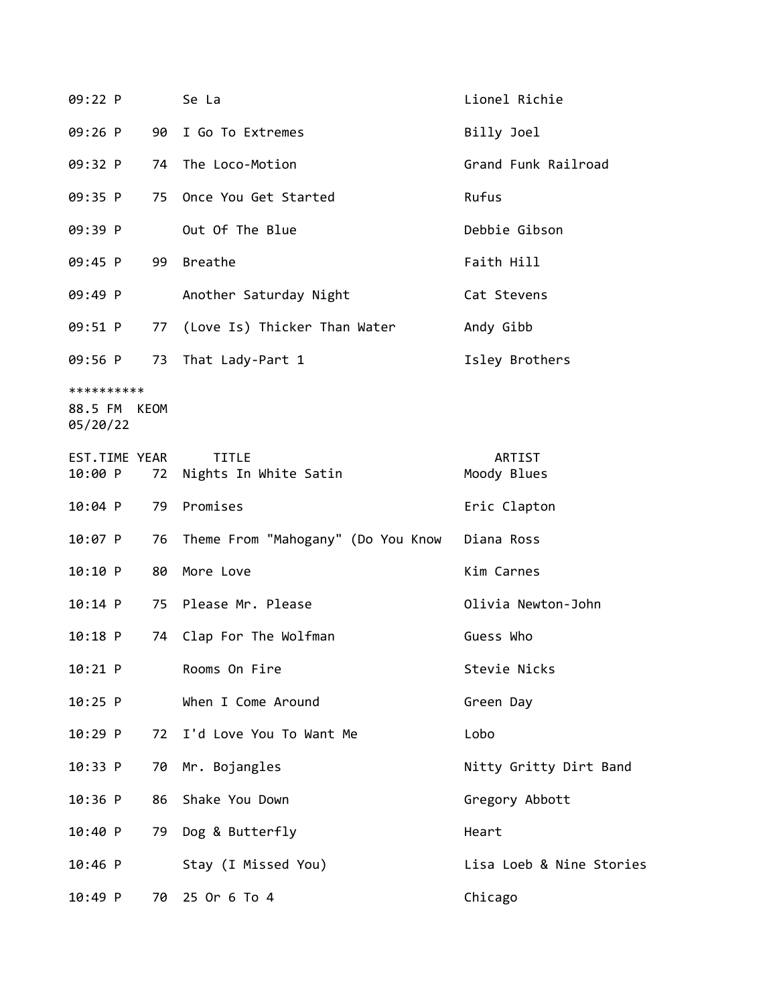| 09:22 P                                |    | Se La                                 | Lionel Richie            |
|----------------------------------------|----|---------------------------------------|--------------------------|
| $09:26$ P                              | 90 | I Go To Extremes                      | Billy Joel               |
| 09:32 P                                | 74 | The Loco-Motion                       | Grand Funk Railroad      |
| 09:35 P                                | 75 | Once You Get Started                  | Rufus                    |
| 09:39 P                                |    | Out Of The Blue                       | Debbie Gibson            |
| 09:45 P                                |    | 99 Breathe                            | Faith Hill               |
| 09:49 P                                |    | Another Saturday Night                | Cat Stevens              |
| 09:51 P                                | 77 | (Love Is) Thicker Than Water          | Andy Gibb                |
| 09:56 P                                | 73 | That Lady-Part 1                      | Isley Brothers           |
| **********<br>88.5 FM KEOM<br>05/20/22 |    |                                       |                          |
| EST.TIME YEAR<br>10:00 P               | 72 | <b>TITLE</b><br>Nights In White Satin | ARTIST<br>Moody Blues    |
| $10:04$ P                              | 79 | Promises                              | Eric Clapton             |
| $10:07$ P                              | 76 | Theme From "Mahogany" (Do You Know    | Diana Ross               |
| 10:10 P                                | 80 | More Love                             | Kim Carnes               |
| $10:14$ P                              |    | 75 Please Mr. Please                  | Olivia Newton-John       |
| $10:18$ P                              | 74 | Clap For The Wolfman                  | Guess Who                |
| 10:21 P                                |    | Rooms On Fire                         | Stevie Nicks             |
| $10:25$ P                              |    | When I Come Around                    | Green Day                |
| 10:29 P                                | 72 | I'd Love You To Want Me               | Lobo                     |
| 10:33 P                                | 70 | Mr. Bojangles                         | Nitty Gritty Dirt Band   |
| 10:36 P                                | 86 | Shake You Down                        | Gregory Abbott           |
| 10:40 P                                | 79 | Dog & Butterfly                       | Heart                    |
| $10:46$ P                              |    | Stay (I Missed You)                   | Lisa Loeb & Nine Stories |
| 10:49 P                                | 70 | 25 Or 6 To 4                          | Chicago                  |